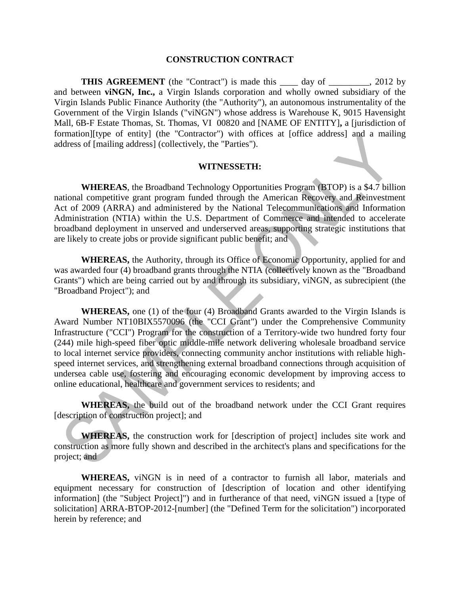#### **CONSTRUCTION CONTRACT**

**THIS AGREEMENT** (the "Contract") is made this \_\_\_\_\_ day of \_\_\_\_\_\_\_, 2012 by and between **viNGN, Inc.,** a Virgin Islands corporation and wholly owned subsidiary of the Virgin Islands Public Finance Authority (the "Authority"), an autonomous instrumentality of the Government of the Virgin Islands ("viNGN") whose address is Warehouse K, 9015 Havensight Mall, 6B-F Estate Thomas, St. Thomas, VI 00820 and [NAME OF ENTITY]**,** a [jurisdiction of formation][type of entity] (the "Contractor") with offices at [office address] and a mailing address of [mailing address] (collectively, the "Parties").

#### **WITNESSETH:**

**WHEREAS**, the Broadband Technology Opportunities Program (BTOP) is a \$4.7 billion national competitive grant program funded through the American Recovery and Reinvestment Act of 2009 (ARRA) and administered by the National Telecommunications and Information Administration (NTIA) within the U.S. Department of Commerce and intended to accelerate broadband deployment in unserved and underserved areas, supporting strategic institutions that are likely to create jobs or provide significant public benefit; and

**WHEREAS,** the Authority, through its Office of Economic Opportunity, applied for and was awarded four (4) broadband grants through the NTIA (collectively known as the "Broadband" Grants") which are being carried out by and through its subsidiary, viNGN, as subrecipient (the "Broadband Project"); and

**WHEREAS,** one (1) of the four (4) Broadband Grants awarded to the Virgin Islands is Award Number NT10BIX5570096 (the "CCI Grant") under the Comprehensive Community Infrastructure ("CCI") Program for the construction of a Territory-wide two hundred forty four (244) mile high-speed fiber optic middle-mile network delivering wholesale broadband service to local internet service providers, connecting community anchor institutions with reliable highspeed internet services, and strengthening external broadband connections through acquisition of undersea cable use, fostering and encouraging economic development by improving access to online educational, healthcare and government services to residents; and

**WHEREAS,** the build out of the broadband network under the CCI Grant requires [description of construction project]; and

**WHEREAS,** the construction work for [description of project] includes site work and construction as more fully shown and described in the architect's plans and specifications for the project; and

**WHEREAS,** viNGN is in need of a contractor to furnish all labor, materials and equipment necessary for construction of [description of location and other identifying information] (the "Subject Project]") and in furtherance of that need, viNGN issued a [type of solicitation] ARRA-BTOP-2012-[number] (the "Defined Term for the solicitation") incorporated herein by reference; and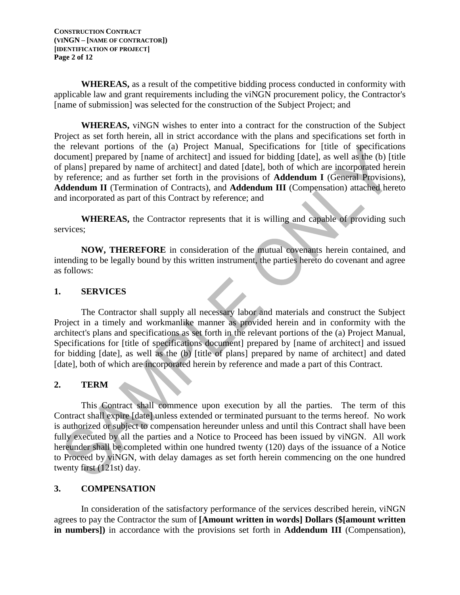**CONSTRUCTION CONTRACT (VINGN – [NAME OF CONTRACTOR]) [IDENTIFICATION OF PROJECT] Page 2 of 12**

**WHEREAS,** as a result of the competitive bidding process conducted in conformity with applicable law and grant requirements including the viNGN procurement policy, the Contractor's [name of submission] was selected for the construction of the Subject Project; and

**WHEREAS,** viNGN wishes to enter into a contract for the construction of the Subject Project as set forth herein, all in strict accordance with the plans and specifications set forth in the relevant portions of the (a) Project Manual, Specifications for [title of specifications document] prepared by [name of architect] and issued for bidding [date], as well as the (b) [title of plans] prepared by name of architect] and dated [date], both of which are incorporated herein by reference; and as further set forth in the provisions of **Addendum I** (General Provisions), **Addendum II** (Termination of Contracts), and **Addendum III** (Compensation) attached hereto and incorporated as part of this Contract by reference; and

**WHEREAS,** the Contractor represents that it is willing and capable of providing such services;

**NOW, THEREFORE** in consideration of the mutual covenants herein contained, and intending to be legally bound by this written instrument, the parties hereto do covenant and agree as follows:

### **1. SERVICES**

The Contractor shall supply all necessary labor and materials and construct the Subject Project in a timely and workmanlike manner as provided herein and in conformity with the architect's plans and specifications as set forth in the relevant portions of the (a) Project Manual, Specifications for [title of specifications document] prepared by [name of architect] and issued for bidding [date], as well as the (b) [title of plans] prepared by name of architect] and dated [date], both of which are incorporated herein by reference and made a part of this Contract.

## **2. TERM**

This Contract shall commence upon execution by all the parties. The term of this Contract shall expire [date] unless extended or terminated pursuant to the terms hereof. No work is authorized or subject to compensation hereunder unless and until this Contract shall have been fully executed by all the parties and a Notice to Proceed has been issued by viNGN. All work hereunder shall be completed within one hundred twenty (120) days of the issuance of a Notice to Proceed by viNGN, with delay damages as set forth herein commencing on the one hundred twenty first (121st) day.

## **3. COMPENSATION**

In consideration of the satisfactory performance of the services described herein, viNGN agrees to pay the Contractor the sum of **[Amount written in words] Dollars (\$[amount written in numbers])** in accordance with the provisions set forth in **Addendum III** (Compensation),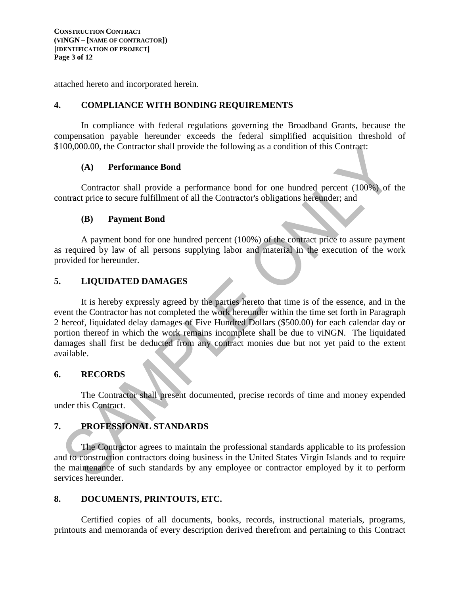attached hereto and incorporated herein.

### **4. COMPLIANCE WITH BONDING REQUIREMENTS**

In compliance with federal regulations governing the Broadband Grants, because the compensation payable hereunder exceeds the federal simplified acquisition threshold of \$100,000.00, the Contractor shall provide the following as a condition of this Contract:

#### **(A) Performance Bond**

Contractor shall provide a performance bond for one hundred percent (100%) of the contract price to secure fulfillment of all the Contractor's obligations hereunder; and

#### **(B) Payment Bond**

A payment bond for one hundred percent (100%) of the contract price to assure payment as required by law of all persons supplying labor and material in the execution of the work provided for hereunder.

## **5. LIQUIDATED DAMAGES**

It is hereby expressly agreed by the parties hereto that time is of the essence, and in the event the Contractor has not completed the work hereunder within the time set forth in Paragraph 2 hereof, liquidated delay damages of Five Hundred Dollars (\$500.00) for each calendar day or portion thereof in which the work remains incomplete shall be due to viNGN. The liquidated damages shall first be deducted from any contract monies due but not yet paid to the extent available.

#### **6. RECORDS**

The Contractor shall present documented, precise records of time and money expended under this Contract.

## **7. PROFESSIONAL STANDARDS**

The Contractor agrees to maintain the professional standards applicable to its profession and to construction contractors doing business in the United States Virgin Islands and to require the maintenance of such standards by any employee or contractor employed by it to perform services hereunder.

## **8. DOCUMENTS, PRINTOUTS, ETC.**

Certified copies of all documents, books, records, instructional materials, programs, printouts and memoranda of every description derived therefrom and pertaining to this Contract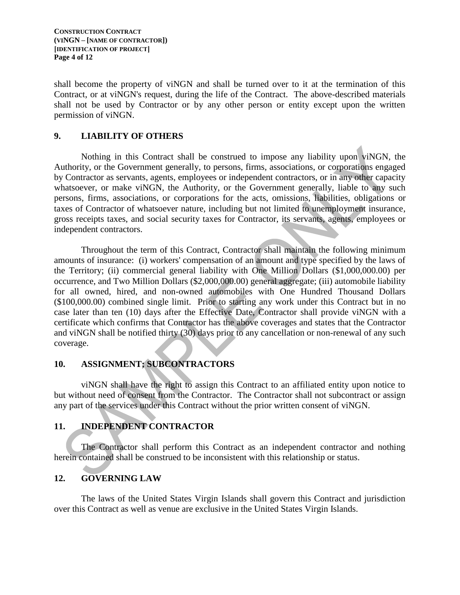shall become the property of viNGN and shall be turned over to it at the termination of this Contract, or at viNGN's request, during the life of the Contract. The above-described materials shall not be used by Contractor or by any other person or entity except upon the written permission of viNGN.

# **9. LIABILITY OF OTHERS**

Nothing in this Contract shall be construed to impose any liability upon viNGN, the Authority, or the Government generally, to persons, firms, associations, or corporations engaged by Contractor as servants, agents, employees or independent contractors, or in any other capacity whatsoever, or make viNGN, the Authority, or the Government generally, liable to any such persons, firms, associations, or corporations for the acts, omissions, liabilities, obligations or taxes of Contractor of whatsoever nature, including but not limited to unemployment insurance, gross receipts taxes, and social security taxes for Contractor, its servants, agents, employees or independent contractors.

Throughout the term of this Contract, Contractor shall maintain the following minimum amounts of insurance: (i) workers' compensation of an amount and type specified by the laws of the Territory; (ii) commercial general liability with One Million Dollars (\$1,000,000.00) per occurrence, and Two Million Dollars (\$2,000,000.00) general aggregate; (iii) automobile liability for all owned, hired, and non-owned automobiles with One Hundred Thousand Dollars (\$100,000.00) combined single limit. Prior to starting any work under this Contract but in no case later than ten (10) days after the Effective Date, Contractor shall provide viNGN with a certificate which confirms that Contractor has the above coverages and states that the Contractor and viNGN shall be notified thirty (30) days prior to any cancellation or non-renewal of any such coverage.

## **10. ASSIGNMENT; SUBCONTRACTORS**

viNGN shall have the right to assign this Contract to an affiliated entity upon notice to but without need of consent from the Contractor. The Contractor shall not subcontract or assign any part of the services under this Contract without the prior written consent of viNGN.

## **11. INDEPENDENT CONTRACTOR**

The Contractor shall perform this Contract as an independent contractor and nothing herein contained shall be construed to be inconsistent with this relationship or status.

## **12. GOVERNING LAW**

The laws of the United States Virgin Islands shall govern this Contract and jurisdiction over this Contract as well as venue are exclusive in the United States Virgin Islands.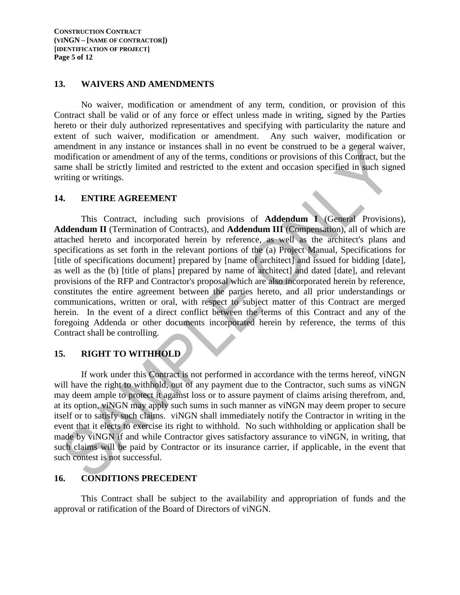#### **13. WAIVERS AND AMENDMENTS**

No waiver, modification or amendment of any term, condition, or provision of this Contract shall be valid or of any force or effect unless made in writing, signed by the Parties hereto or their duly authorized representatives and specifying with particularity the nature and extent of such waiver, modification or amendment. Any such waiver, modification or amendment in any instance or instances shall in no event be construed to be a general waiver, modification or amendment of any of the terms, conditions or provisions of this Contract, but the same shall be strictly limited and restricted to the extent and occasion specified in such signed writing or writings.

#### **14. ENTIRE AGREEMENT**

This Contract, including such provisions of **Addendum I** (General Provisions), **Addendum II** (Termination of Contracts), and **Addendum III** (Compensation), all of which are attached hereto and incorporated herein by reference, as well as the architect's plans and specifications as set forth in the relevant portions of the (a) Project Manual, Specifications for [title of specifications document] prepared by [name of architect] and issued for bidding [date], as well as the (b) [title of plans] prepared by name of architect] and dated [date], and relevant provisions of the RFP and Contractor's proposal which are also incorporated herein by reference, constitutes the entire agreement between the parties hereto, and all prior understandings or communications, written or oral, with respect to subject matter of this Contract are merged herein. In the event of a direct conflict between the terms of this Contract and any of the foregoing Addenda or other documents incorporated herein by reference, the terms of this Contract shall be controlling.

#### **15. RIGHT TO WITHHOLD**

If work under this Contract is not performed in accordance with the terms hereof, viNGN will have the right to withhold, out of any payment due to the Contractor, such sums as viNGN may deem ample to protect it against loss or to assure payment of claims arising therefrom, and, at its option, viNGN may apply such sums in such manner as viNGN may deem proper to secure itself or to satisfy such claims. viNGN shall immediately notify the Contractor in writing in the event that it elects to exercise its right to withhold. No such withholding or application shall be made by viNGN if and while Contractor gives satisfactory assurance to viNGN, in writing, that such claims will be paid by Contractor or its insurance carrier, if applicable, in the event that such contest is not successful.

#### **16. CONDITIONS PRECEDENT**

This Contract shall be subject to the availability and appropriation of funds and the approval or ratification of the Board of Directors of viNGN.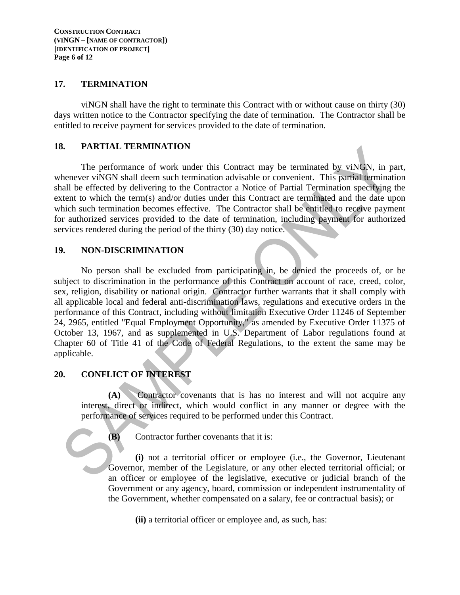#### **17. TERMINATION**

viNGN shall have the right to terminate this Contract with or without cause on thirty (30) days written notice to the Contractor specifying the date of termination. The Contractor shall be entitled to receive payment for services provided to the date of termination.

#### **18. PARTIAL TERMINATION**

The performance of work under this Contract may be terminated by viNGN, in part, whenever viNGN shall deem such termination advisable or convenient. This partial termination shall be effected by delivering to the Contractor a Notice of Partial Termination specifying the extent to which the term(s) and/or duties under this Contract are terminated and the date upon which such termination becomes effective. The Contractor shall be entitled to receive payment for authorized services provided to the date of termination, including payment for authorized services rendered during the period of the thirty (30) day notice.

#### **19. NON-DISCRIMINATION**

No person shall be excluded from participating in, be denied the proceeds of, or be subject to discrimination in the performance of this Contract on account of race, creed, color, sex, religion, disability or national origin. Contractor further warrants that it shall comply with all applicable local and federal anti-discrimination laws, regulations and executive orders in the performance of this Contract, including without limitation Executive Order 11246 of September 24, 2965, entitled "Equal Employment Opportunity," as amended by Executive Order 11375 of October 13, 1967, and as supplemented in U.S. Department of Labor regulations found at Chapter 60 of Title 41 of the Code of Federal Regulations, to the extent the same may be applicable.

#### **20. CONFLICT OF INTEREST**

**(A)** Contractor covenants that is has no interest and will not acquire any interest, direct or indirect, which would conflict in any manner or degree with the performance of services required to be performed under this Contract.

**(B)** Contractor further covenants that it is:

**(i)** not a territorial officer or employee (i.e., the Governor, Lieutenant Governor, member of the Legislature, or any other elected territorial official; or an officer or employee of the legislative, executive or judicial branch of the Government or any agency, board, commission or independent instrumentality of the Government, whether compensated on a salary, fee or contractual basis); or

**(ii)** a territorial officer or employee and, as such, has: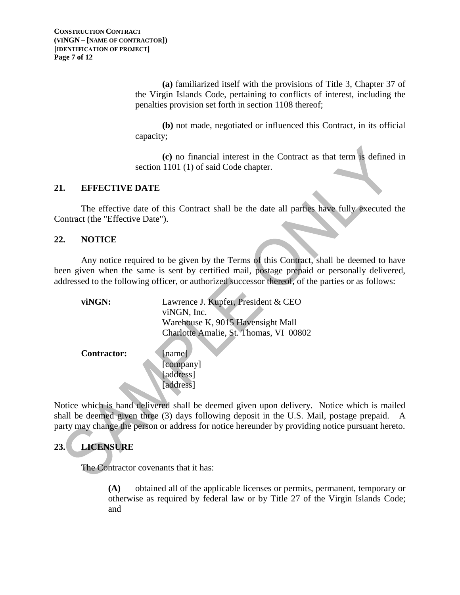**(a)** familiarized itself with the provisions of Title 3, Chapter 37 of the Virgin Islands Code, pertaining to conflicts of interest, including the penalties provision set forth in section 1108 thereof;

**(b)** not made, negotiated or influenced this Contract, in its official capacity;

**(c)** no financial interest in the Contract as that term is defined in section 1101 (1) of said Code chapter.

#### **21. EFFECTIVE DATE**

The effective date of this Contract shall be the date all parties have fully executed the Contract (the "Effective Date").

#### **22. NOTICE**

Any notice required to be given by the Terms of this Contract, shall be deemed to have been given when the same is sent by certified mail, postage prepaid or personally delivered, addressed to the following officer, or authorized successor thereof, of the parties or as follows:

| viNGN:             | Lawrence J. Kupfer, President & CEO    |
|--------------------|----------------------------------------|
|                    | viNGN, Inc.                            |
|                    | Warehouse K, 9015 Havensight Mall      |
|                    | Charlotte Amalie, St. Thomas, VI 00802 |
|                    |                                        |
| <b>Contractor:</b> | [name]                                 |
|                    | [company]                              |
|                    | [address]                              |
|                    | address <sup>1</sup>                   |

Notice which is hand delivered shall be deemed given upon delivery. Notice which is mailed shall be deemed given three (3) days following deposit in the U.S. Mail, postage prepaid. A party may change the person or address for notice hereunder by providing notice pursuant hereto.

# **23. LICENSURE**

The Contractor covenants that it has:

**(A)** obtained all of the applicable licenses or permits, permanent, temporary or otherwise as required by federal law or by Title 27 of the Virgin Islands Code; and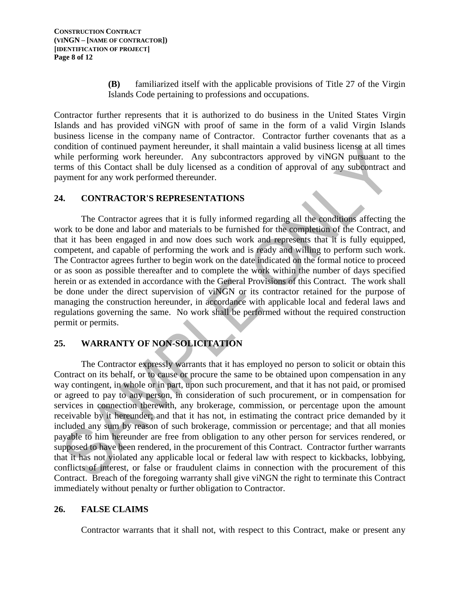**(B)** familiarized itself with the applicable provisions of Title 27 of the Virgin Islands Code pertaining to professions and occupations.

Contractor further represents that it is authorized to do business in the United States Virgin Islands and has provided viNGN with proof of same in the form of a valid Virgin Islands business license in the company name of Contractor. Contractor further covenants that as a condition of continued payment hereunder, it shall maintain a valid business license at all times while performing work hereunder. Any subcontractors approved by viNGN pursuant to the terms of this Contact shall be duly licensed as a condition of approval of any subcontract and payment for any work performed thereunder.

### **24. CONTRACTOR'S REPRESENTATIONS**

The Contractor agrees that it is fully informed regarding all the conditions affecting the work to be done and labor and materials to be furnished for the completion of the Contract, and that it has been engaged in and now does such work and represents that it is fully equipped, competent, and capable of performing the work and is ready and willing to perform such work. The Contractor agrees further to begin work on the date indicated on the formal notice to proceed or as soon as possible thereafter and to complete the work within the number of days specified herein or as extended in accordance with the General Provisions of this Contract. The work shall be done under the direct supervision of viNGN or its contractor retained for the purpose of managing the construction hereunder, in accordance with applicable local and federal laws and regulations governing the same. No work shall be performed without the required construction permit or permits.

# **25. WARRANTY OF NON-SOLICITATION**

The Contractor expressly warrants that it has employed no person to solicit or obtain this Contract on its behalf, or to cause or procure the same to be obtained upon compensation in any way contingent, in whole or in part, upon such procurement, and that it has not paid, or promised or agreed to pay to any person, in consideration of such procurement, or in compensation for services in connection therewith, any brokerage, commission, or percentage upon the amount receivable by it hereunder; and that it has not, in estimating the contract price demanded by it included any sum by reason of such brokerage, commission or percentage; and that all monies payable to him hereunder are free from obligation to any other person for services rendered, or supposed to have been rendered, in the procurement of this Contract. Contractor further warrants that it has not violated any applicable local or federal law with respect to kickbacks, lobbying, conflicts of interest, or false or fraudulent claims in connection with the procurement of this Contract. Breach of the foregoing warranty shall give viNGN the right to terminate this Contract immediately without penalty or further obligation to Contractor.

## **26. FALSE CLAIMS**

Contractor warrants that it shall not, with respect to this Contract, make or present any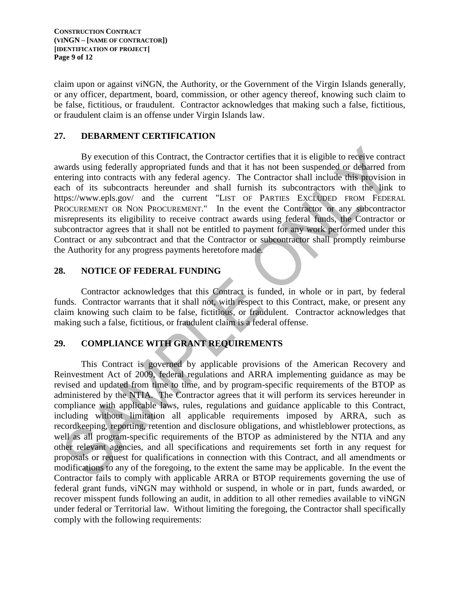claim upon or against viNGN, the Authority, or the Government of the Virgin Islands generally, or any officer, department, board, commission, or other agency thereof, knowing such claim to be false, fictitious, or fraudulent. Contractor acknowledges that making such a false, fictitious, or fraudulent claim is an offense under Virgin Islands law.

### **27. DEBARMENT CERTIFICATION**

By execution of this Contract, the Contractor certifies that it is eligible to receive contract awards using federally appropriated funds and that it has not been suspended or debarred from entering into contracts with any federal agency. The Contractor shall include this provision in each of its subcontracts hereunder and shall furnish its subcontractors with the link to https://www.epls.gov/ and the current "LIST OF PARTIES EXCLUDED FROM FEDERAL PROCUREMENT OR NON PROCUREMENT." In the event the Contractor or any subcontractor misrepresents its eligibility to receive contract awards using federal funds, the Contractor or subcontractor agrees that it shall not be entitled to payment for any work performed under this Contract or any subcontract and that the Contractor or subcontractor shall promptly reimburse the Authority for any progress payments heretofore made.

#### **28. NOTICE OF FEDERAL FUNDING**

Contractor acknowledges that this Contract is funded, in whole or in part, by federal funds. Contractor warrants that it shall not, with respect to this Contract, make, or present any claim knowing such claim to be false, fictitious, or fraudulent. Contractor acknowledges that making such a false, fictitious, or fraudulent claim is a federal offense.

# **29. COMPLIANCE WITH GRANT REQUIREMENTS**

This Contract is governed by applicable provisions of the American Recovery and Reinvestment Act of 2009, federal regulations and ARRA implementing guidance as may be revised and updated from time to time, and by program-specific requirements of the BTOP as administered by the NTIA. The Contractor agrees that it will perform its services hereunder in compliance with applicable laws, rules, regulations and guidance applicable to this Contract, including without limitation all applicable requirements imposed by ARRA, such as recordkeeping, reporting, retention and disclosure obligations, and whistleblower protections, as well as all program-specific requirements of the BTOP as administered by the NTIA and any other relevant agencies, and all specifications and requirements set forth in any request for proposals or request for qualifications in connection with this Contract, and all amendments or modifications to any of the foregoing, to the extent the same may be applicable. In the event the Contractor fails to comply with applicable ARRA or BTOP requirements governing the use of federal grant funds, viNGN may withhold or suspend, in whole or in part, funds awarded, or recover misspent funds following an audit, in addition to all other remedies available to viNGN under federal or Territorial law. Without limiting the foregoing, the Contractor shall specifically comply with the following requirements: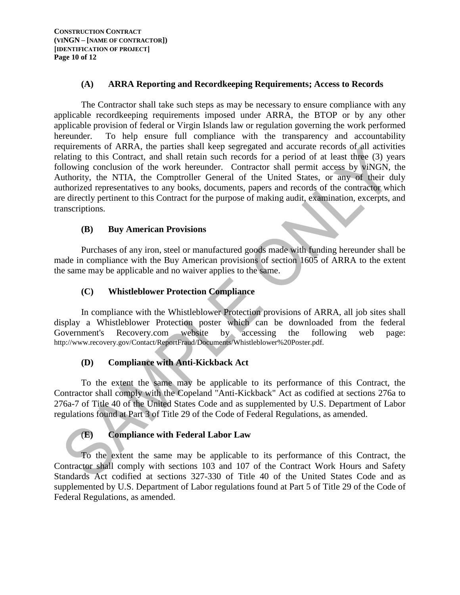### **(A) ARRA Reporting and Recordkeeping Requirements; Access to Records**

The Contractor shall take such steps as may be necessary to ensure compliance with any applicable recordkeeping requirements imposed under ARRA, the BTOP or by any other applicable provision of federal or Virgin Islands law or regulation governing the work performed hereunder. To help ensure full compliance with the transparency and accountability requirements of ARRA, the parties shall keep segregated and accurate records of all activities relating to this Contract, and shall retain such records for a period of at least three (3) years following conclusion of the work hereunder. Contractor shall permit access by viNGN, the Authority, the NTIA, the Comptroller General of the United States, or any of their duly authorized representatives to any books, documents, papers and records of the contractor which are directly pertinent to this Contract for the purpose of making audit, examination, excerpts, and transcriptions.

### **(B) Buy American Provisions**

Purchases of any iron, steel or manufactured goods made with funding hereunder shall be made in compliance with the Buy American provisions of section 1605 of ARRA to the extent the same may be applicable and no waiver applies to the same.

# **(C) Whistleblower Protection Compliance**

In compliance with the Whistleblower Protection provisions of ARRA, all job sites shall display a Whistleblower Protection poster which can be downloaded from the federal Government's Recovery.com website by accessing the following web page: Government's Recovery.com website by accessing the following web page: http://www.recovery.gov/Contact/ReportFraud/Documents/Whistleblower%20Poster.pdf.

## **(D) Compliance with Anti-Kickback Act**

To the extent the same may be applicable to its performance of this Contract, the Contractor shall comply with the Copeland "Anti-Kickback" Act as codified at sections 276a to 276a-7 of Title 40 of the United States Code and as supplemented by U.S. Department of Labor regulations found at Part 3 of Title 29 of the Code of Federal Regulations, as amended.

## (**E) Compliance with Federal Labor Law**

To the extent the same may be applicable to its performance of this Contract, the Contractor shall comply with sections 103 and 107 of the Contract Work Hours and Safety Standards Act codified at sections 327-330 of Title 40 of the United States Code and as supplemented by U.S. Department of Labor regulations found at Part 5 of Title 29 of the Code of Federal Regulations, as amended.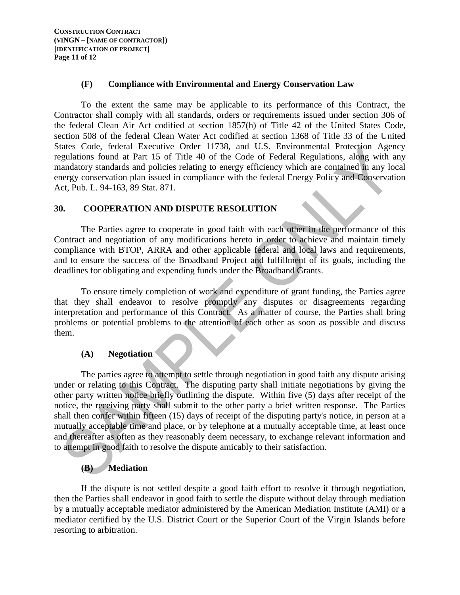#### **(F) Compliance with Environmental and Energy Conservation Law**

To the extent the same may be applicable to its performance of this Contract, the Contractor shall comply with all standards, orders or requirements issued under section 306 of the federal Clean Air Act codified at section 1857(h) of Title 42 of the United States Code, section 508 of the federal Clean Water Act codified at section 1368 of Title 33 of the United States Code, federal Executive Order 11738, and U.S. Environmental Protection Agency regulations found at Part 15 of Title 40 of the Code of Federal Regulations, along with any mandatory standards and policies relating to energy efficiency which are contained in any local energy conservation plan issued in compliance with the federal Energy Policy and Conservation Act, Pub. L. 94-163, 89 Stat. 871.

### **30. COOPERATION AND DISPUTE RESOLUTION**

The Parties agree to cooperate in good faith with each other in the performance of this Contract and negotiation of any modifications hereto in order to achieve and maintain timely compliance with BTOP, ARRA and other applicable federal and local laws and requirements, and to ensure the success of the Broadband Project and fulfillment of its goals, including the deadlines for obligating and expending funds under the Broadband Grants.

To ensure timely completion of work and expenditure of grant funding, the Parties agree that they shall endeavor to resolve promptly any disputes or disagreements regarding interpretation and performance of this Contract. As a matter of course, the Parties shall bring problems or potential problems to the attention of each other as soon as possible and discuss them.

## **(A) Negotiation**

The parties agree to attempt to settle through negotiation in good faith any dispute arising under or relating to this Contract. The disputing party shall initiate negotiations by giving the other party written notice briefly outlining the dispute. Within five (5) days after receipt of the notice, the receiving party shall submit to the other party a brief written response. The Parties shall then confer within fifteen (15) days of receipt of the disputing party's notice, in person at a mutually acceptable time and place, or by telephone at a mutually acceptable time, at least once and thereafter as often as they reasonably deem necessary, to exchange relevant information and to attempt in good faith to resolve the dispute amicably to their satisfaction.

# **(B) Mediation**

If the dispute is not settled despite a good faith effort to resolve it through negotiation, then the Parties shall endeavor in good faith to settle the dispute without delay through mediation by a mutually acceptable mediator administered by the American Mediation Institute (AMI) or a mediator certified by the U.S. District Court or the Superior Court of the Virgin Islands before resorting to arbitration.